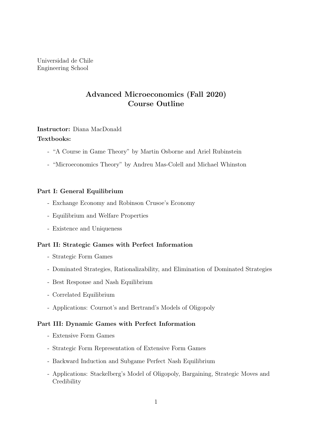Universidad de Chile Engineering School

# Advanced Microeconomics (Fall 2020) Course Outline

# Instructor: Diana MacDonald Textbooks:

- "A Course in Game Theory" by Martin Osborne and Ariel Rubinstein
- "Microeconomics Theory" by Andreu Mas-Colell and Michael Whinston

### Part I: General Equilibrium

- Exchange Economy and Robinson Crusoe's Economy
- Equilibrium and Welfare Properties
- Existence and Uniqueness

### Part II: Strategic Games with Perfect Information

- Strategic Form Games
- Dominated Strategies, Rationalizability, and Elimination of Dominated Strategies
- Best Response and Nash Equilibrium
- Correlated Equilibrium
- Applications: Cournot's and Bertrand's Models of Oligopoly

#### Part III: Dynamic Games with Perfect Information

- Extensive Form Games
- Strategic Form Representation of Extensive Form Games
- Backward Induction and Subgame Perfect Nash Equilibrium
- Applications: Stackelberg's Model of Oligopoly, Bargaining, Strategic Moves and **Credibility**